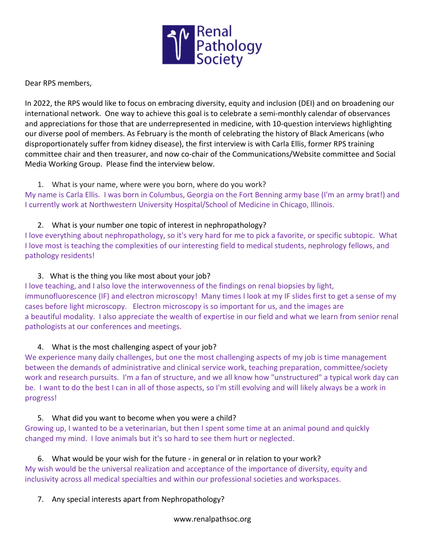

Dear RPS members,

In 2022, the RPS would like to focus on embracing diversity, equity and inclusion (DEI) and on broadening our international network. One way to achieve this goal is to celebrate a semi-monthly calendar of observances and appreciations for those that are underrepresented in medicine, with 10-question interviews highlighting our diverse pool of members. As February is the month of celebrating the history of Black Americans (who disproportionately suffer from kidney disease), the first interview is with Carla Ellis, former RPS training committee chair and then treasurer, and now co-chair of the Communications/Website committee and Social Media Working Group. Please find the interview below.

### 1. What is your name, where were you born, where do you work?

My name is Carla Ellis. I was born in Columbus, Georgia on the Fort Benning army base (I'm an army brat!) and I currently work at Northwestern University Hospital/School of Medicine in Chicago, Illinois.

### 2. What is your number one topic of interest in nephropathology?

I love everything about nephropathology, so it's very hard for me to pick a favorite, or specific subtopic. What I love most is teaching the complexities of our interesting field to medical students, nephrology fellows, and pathology residents!

#### 3. What is the thing you like most about your job?

I love teaching, and I also love the interwovenness of the findings on renal biopsies by light, immunofluorescence (IF) and electron microscopy! Many times I look at my IF slides first to get a sense of my cases before light microscopy. Electron microscopy is so important for us, and the images are a beautiful modality. I also appreciate the wealth of expertise in our field and what we learn from senior renal pathologists at our conferences and meetings.

# 4. What is the most challenging aspect of your job?

We experience many daily challenges, but one the most challenging aspects of my job is time management between the demands of administrative and clinical service work, teaching preparation, committee/society work and research pursuits. I'm a fan of structure, and we all know how "unstructured" a typical work day can be. I want to do the best I can in all of those aspects, so I'm still evolving and will likely always be a work in progress!

#### 5. What did you want to become when you were a child?

Growing up, I wanted to be a veterinarian, but then I spent some time at an animal pound and quickly changed my mind. I love animals but it's so hard to see them hurt or neglected.

# 6. What would be your wish for the future - in general or in relation to your work?

My wish would be the universal realization and acceptance of the importance of diversity, equity and inclusivity across all medical specialties and within our professional societies and workspaces.

# 7. Any special interests apart from Nephropathology?

www.renalpathsoc.org